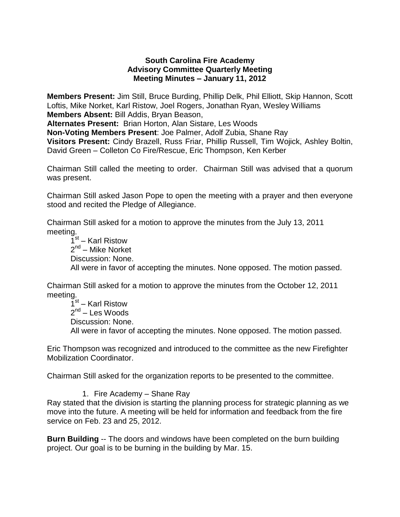#### **South Carolina Fire Academy Advisory Committee Quarterly Meeting Meeting Minutes – January 11, 2012**

**Members Present:** Jim Still, Bruce Burding, Phillip Delk, Phil Elliott, Skip Hannon, Scott Loftis, Mike Norket, Karl Ristow, Joel Rogers, Jonathan Ryan, Wesley Williams **Members Absent:** Bill Addis, Bryan Beason,

**Alternates Present:** Brian Horton, Alan Sistare, Les Woods

**Non-Voting Members Present**: Joe Palmer, Adolf Zubia, Shane Ray

**Visitors Present:** Cindy Brazell, Russ Friar, Phillip Russell, Tim Wojick, Ashley Boltin, David Green – Colleton Co Fire/Rescue, Eric Thompson, Ken Kerber

Chairman Still called the meeting to order. Chairman Still was advised that a quorum was present.

Chairman Still asked Jason Pope to open the meeting with a prayer and then everyone stood and recited the Pledge of Allegiance.

Chairman Still asked for a motion to approve the minutes from the July 13, 2011 meeting.

1<sup>st</sup> – Karl Ristow 2<sup>nd</sup> – Mike Norket Discussion: None. All were in favor of accepting the minutes. None opposed. The motion passed.

Chairman Still asked for a motion to approve the minutes from the October 12, 2011 meeting.

1<sup>st</sup> – Karl Ristow 2<sup>nd</sup> – Les Woods Discussion: None. All were in favor of accepting the minutes. None opposed. The motion passed.

Eric Thompson was recognized and introduced to the committee as the new Firefighter Mobilization Coordinator.

Chairman Still asked for the organization reports to be presented to the committee.

1. Fire Academy – Shane Ray

Ray stated that the division is starting the planning process for strategic planning as we move into the future. A meeting will be held for information and feedback from the fire service on Feb. 23 and 25, 2012.

**Burn Building** -- The doors and windows have been completed on the burn building project. Our goal is to be burning in the building by Mar. 15.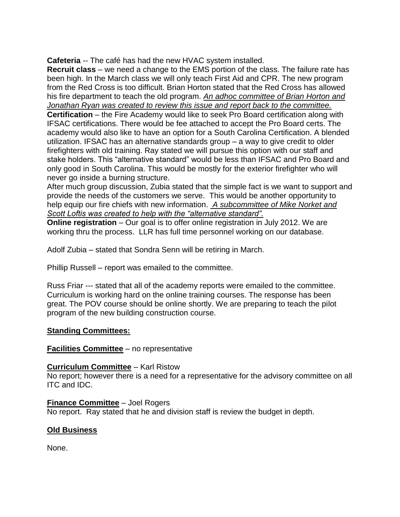**Cafeteria** -- The café has had the new HVAC system installed.

**Recruit class** – we need a change to the EMS portion of the class. The failure rate has been high. In the March class we will only teach First Aid and CPR. The new program from the Red Cross is too difficult. Brian Horton stated that the Red Cross has allowed his fire department to teach the old program. *An adhoc committee of Brian Horton and Jonathan Ryan was created to review this issue and report back to the committee.* **Certification** – the Fire Academy would like to seek Pro Board certification along with IFSAC certifications. There would be fee attached to accept the Pro Board certs. The academy would also like to have an option for a South Carolina Certification. A blended utilization. IFSAC has an alternative standards group – a way to give credit to older firefighters with old training. Ray stated we will pursue this option with our staff and stake holders. This "alternative standard" would be less than IFSAC and Pro Board and only good in South Carolina. This would be mostly for the exterior firefighter who will never go inside a burning structure.

After much group discussion, Zubia stated that the simple fact is we want to support and provide the needs of the customers we serve. This would be another opportunity to help equip our fire chiefs with new information. *A subcommittee of Mike Norket and Scott Loftis was created to help with the "alternative standard".*

**Online registration** – Our goal is to offer online registration in July 2012. We are working thru the process. LLR has full time personnel working on our database.

Adolf Zubia – stated that Sondra Senn will be retiring in March.

Phillip Russell – report was emailed to the committee.

Russ Friar --- stated that all of the academy reports were emailed to the committee. Curriculum is working hard on the online training courses. The response has been great. The POV course should be online shortly. We are preparing to teach the pilot program of the new building construction course.

# **Standing Committees:**

# **Facilities Committee** – no representative

#### **Curriculum Committee** – Karl Ristow

No report; however there is a need for a representative for the advisory committee on all ITC and IDC.

#### **Finance Committee** – Joel Rogers

No report. Ray stated that he and division staff is review the budget in depth.

# **Old Business**

None.